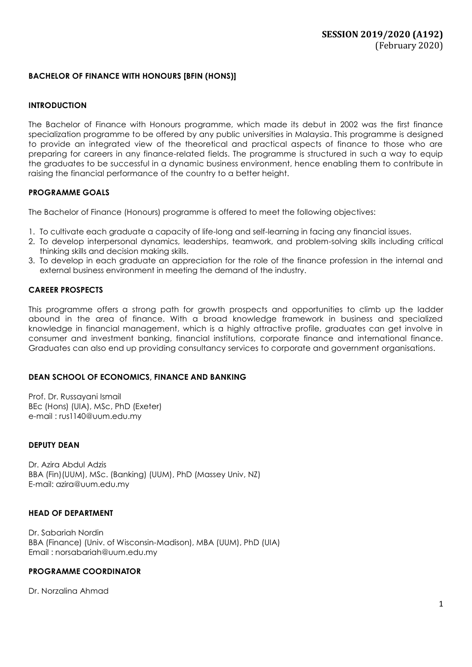### **BACHELOR OF FINANCE WITH HONOURS [BFIN (HONS)]**

### **INTRODUCTION**

The Bachelor of Finance with Honours programme, which made its debut in 2002 was the first finance specialization programme to be offered by any public universities in Malaysia. This programme is designed to provide an integrated view of the theoretical and practical aspects of finance to those who are preparing for careers in any finance-related fields. The programme is structured in such a way to equip the graduates to be successful in a dynamic business environment, hence enabling them to contribute in raising the financial performance of the country to a better height.

### **PROGRAMME GOALS**

The Bachelor of Finance (Honours) programme is offered to meet the following objectives:

- 1. To cultivate each graduate a capacity of life-long and self-learning in facing any financial issues.
- 2. To develop interpersonal dynamics, leaderships, teamwork, and problem-solving skills including critical thinking skills and decision making skills.
- 3. To develop in each graduate an appreciation for the role of the finance profession in the internal and external business environment in meeting the demand of the industry.

### **CAREER PROSPECTS**

This programme offers a strong path for growth prospects and opportunities to climb up the ladder abound in the area of finance. With a broad knowledge framework in business and specialized knowledge in financial management, which is a highly attractive profile, graduates can get involve in consumer and investment banking, financial institutions, corporate finance and international finance. Graduates can also end up providing consultancy services to corporate and government organisations.

### **DEAN SCHOOL OF ECONOMICS, FINANCE AND BANKING**

Prof. Dr. Russayani Ismail BEc (Hons) (UIA), MSc, PhD (Exeter) e-mail : [rus1140@uum.edu.my](mailto:rus1140@uum.edu.my)

### **DEPUTY DEAN**

Dr. Azira Abdul Adzis BBA (Fin)(UUM), MSc. (Banking) (UUM), PhD (Massey Univ, NZ) E-mail: azira@uum.edu.my

### **HEAD OF DEPARTMENT**

Dr. Sabariah Nordin BBA (Finance) (Univ. of Wisconsin-Madison), MBA (UUM), PhD (UIA) Email [: norsabariah@uum.edu.my](mailto:norsabariah@uum.edu.my)

### **PROGRAMME COORDINATOR**

Dr. Norzalina Ahmad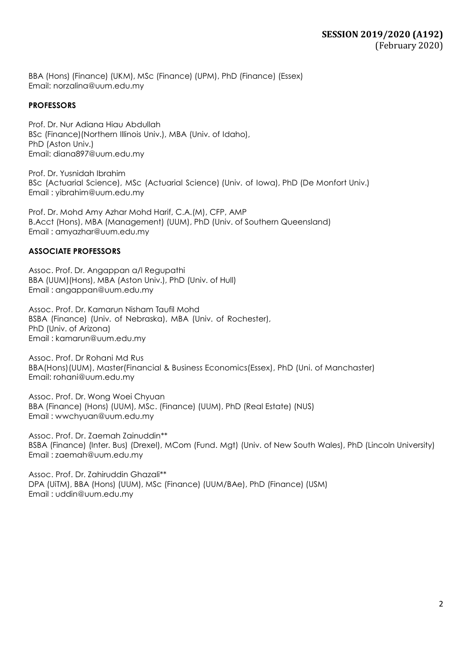BBA (Hons) (Finance) (UKM), MSc (Finance) (UPM), PhD (Finance) (Essex) Email: [norzalina@uum.edu.my](mailto:norzalina@uum.edu.my)

### **PROFESSORS**

Prof. Dr. Nur Adiana Hiau Abdullah BSc (Finance)(Northern Illinois Univ.), MBA (Univ. of Idaho), PhD (Aston Univ.) Email: [diana897@uum.edu.my](mailto:diana897@uum.edu.my)

Prof. Dr. Yusnidah Ibrahim BSc (Actuarial Science), MSc (Actuarial Science) (Univ. of Iowa), PhD (De Monfort Univ.) Email : [yibrahim@uum.edu.my](mailto:yibrahim@uum.edu.my)

Prof. Dr. Mohd Amy Azhar Mohd Harif, C.A.(M), CFP, AMP B.Acct (Hons), MBA (Management) (UUM), PhD (Univ. of Southern Queensland) Email : amyazhar@uum.edu.my

### **ASSOCIATE PROFESSORS**

Assoc. Prof. Dr. Angappan a/l Regupathi BBA (UUM)(Hons), MBA (Aston Univ.), PhD (Univ. of Hull) Email : [angappan@uum.edu.my](mailto:angappan@uum.edu.my)

Assoc. Prof. Dr. Kamarun Nisham Taufil Mohd BSBA (Finance) (Univ. of Nebraska), MBA (Univ. of Rochester), PhD (Univ. of Arizona) Email : [kamarun@uum.edu.my](mailto:kamarun@uum.edu.my)

Assoc. Prof. Dr Rohani Md Rus BBA(Hons)(UUM), Master(Financial & Business Economics(Essex), PhD (Uni. of Manchaster) Email: rohani@uum.edu.my

Assoc. Prof. Dr. Wong Woei Chyuan BBA (Finance) (Hons) (UUM), MSc. (Finance) (UUM), PhD (Real Estate) (NUS) Email : [wwchyuan@uum.edu.my](mailto:wwchyuan@uum.edu.my)

Assoc. Prof. Dr. Zaemah Zainuddin\*\* BSBA (Finance) (Inter. Bus) (Drexel), MCom (Fund. Mgt) (Univ. of New South Wales), PhD (Lincoln University) Email : [zaemah@uum.edu.my](mailto:zaemah@uum.edu.my)

Assoc. Prof. Dr. Zahiruddin Ghazali\*\* DPA (UiTM), BBA (Hons) (UUM), MSc (Finance) (UUM/BAe), PhD (Finance) (USM) Email : [uddin@uum.edu.my](mailto:uddin@uum.edu.my)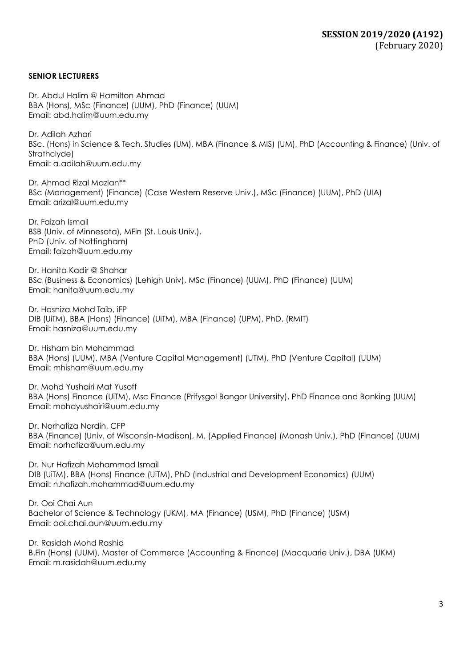### **SENIOR LECTURERS**

Dr. Abdul Halim @ Hamilton Ahmad BBA (Hons), MSc (Finance) (UUM), PhD (Finance) (UUM) Email: [abd.halim@uum.edu.my](mailto:abd.halim@uum.edu.my)

Dr. Adilah Azhari BSc. (Hons) in Science & Tech. Studies (UM), MBA (Finance & MIS) (UM), PhD (Accounting & Finance) (Univ. of Strathclyde) Email: [a.adilah@uum.edu.my](mailto:a.adilah@uum.edu.my)

Dr. Ahmad Rizal Mazlan\*\* BSc (Management) (Finance) (Case Western Reserve Univ.), MSc (Finance) (UUM), PhD (UIA) Email: [arizal@uum.edu.my](mailto:arizal@uum.edu.my)

Dr. Faizah Ismail BSB (Univ. of Minnesota), MFin (St. Louis Univ.), PhD (Univ. of Nottingham) Email: [faizah@uum.edu.my](mailto:faizah@uum.edu.my)

Dr. Hanita Kadir @ Shahar BSc (Business & Economics) (Lehigh Univ), MSc (Finance) (UUM), PhD (Finance) (UUM) Email: [hanita@uum.edu.my](mailto:hanita@uum.edu.my)

Dr. Hasniza Mohd Taib, iFP DIB (UiTM), BBA (Hons) (Finance) (UiTM), MBA (Finance) (UPM), PhD. (RMIT) Ema[il: hasniza@uum.edu.my](mailto:hasniza@uum.edu.my)

Dr. Hisham bin Mohammad BBA (Hons) (UUM), MBA (Venture Capital Management) (UTM), PhD (Venture Capital) (UUM) Email: [mhisham@uum.edu.my](mailto:mhisham@uum.edu.my)

Dr. Mohd Yushairi Mat Yusoff BBA (Hons) Finance (UiTM), Msc Finance (Prifysgol Bangor University), PhD Finance and Banking (UUM) Email: mohdyushairi@uum.edu.my

Dr. Norhafiza Nordin, CFP BBA (Finance) (Univ. of Wisconsin-Madison), M. (Applied Finance) (Monash Univ.), PhD (Finance) (UUM) Email: [norhafiza@uum.edu.my](mailto:norhafiza@uum.edu.my)

Dr. Nur Hafizah Mohammad Ismail DIB (UiTM), BBA (Hons) Finance (UiTM), PhD (Industrial and Development Economics) (UUM) Email: [n.hafizah.mohammad@uum.edu.my](mailto:n.hafizah.mohammad@uum.edu.my)

Dr. Ooi Chai Aun Bachelor of Science & Technology (UKM), MA (Finance) (USM), PhD (Finance) (USM) Email: ooi.chai.aun@uum.edu.my

Dr. Rasidah Mohd Rashid B.Fin (Hons) (UUM), Master of Commerce (Accounting & Finance) (Macquarie Univ.), DBA (UKM) Email: m.rasidah@uum.edu.my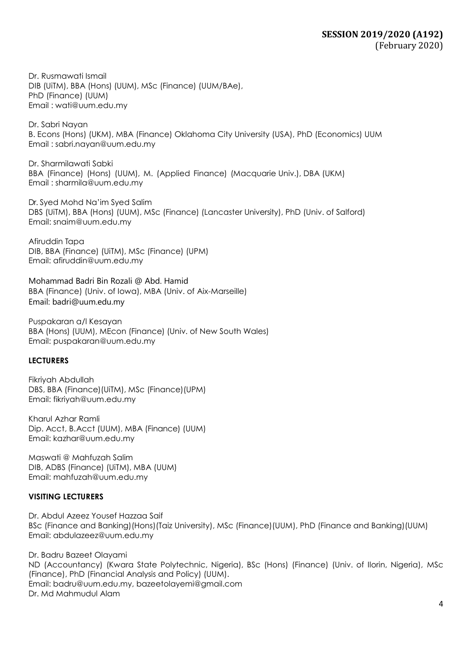Dr. Rusmawati Ismail DIB (UiTM), BBA (Hons) (UUM), MSc (Finance) (UUM/BAe), PhD (Finance) (UUM) Email : [wati@uum.edu.my](mailto:wati@uum.edu.my)

Dr. Sabri Nayan B. Econs (Hons) (UKM), MBA (Finance) Oklahoma City University (USA), PhD (Economics) UUM Email : sabri.nayan@uum.edu.my

Dr. Sharmilawati Sabki BBA (Finance) (Hons) (UUM), M. (Applied Finance) (Macquarie Univ.), DBA (UKM) Email : [sharmila@uum.edu.my](mailto:sharmila@uum.edu.my)

Dr. Syed Mohd Na'im Syed Salim DBS (UiTM), BBA (Hons) (UUM), MSc (Finance) (Lancaster University), PhD (Univ. of Salford) Email: [snaim@uum.edu.my](mailto:snaim@uum.edu.my)

Afiruddin Tapa DIB, BBA (Finance) (UiTM), MSc (Finance) (UPM) Email: [afiruddin@uum.edu.my](mailto:afiruddin@uum.edu.my)

Mohammad Badri Bin Rozali @ Abd. Hamid BBA (Finance) (Univ. of Iowa), MBA (Univ. of Aix-Marseille) Email: badri@uum.edu.my

Puspakaran a/l Kesayan BBA (Hons) (UUM), MEcon (Finance) (Univ. of New South Wales) Email: [puspakaran@uum.edu.my](mailto:puspakaran@uum.edu.my)

### **LECTURERS**

Fikriyah Abdullah DBS, BBA (Finance)(UiTM), MSc (Finance)(UPM) Email: [fikriyah@uum.edu.my](mailto:fikriyah@uum.edu.my)

Kharul Azhar Ramli Dip. Acct, B.Acct (UUM), MBA (Finance) (UUM) Email: [kazhar@uum.edu.my](mailto:kazhar@uum.edu.my)

Maswati @ Mahfuzah Salim DIB, ADBS (Finance) (UiTM), MBA (UUM) Email: [mahfuzah@uum.edu.my](mailto:mahfuzah@uum.edu.my)

### **VISITING LECTURERS**

Dr. Abdul Azeez Yousef Hazzaa Saif BSc (Finance and Banking)(Hons)(Taiz University), MSc (Finance)(UUM), PhD (Finance and Banking)(UUM) Email: abdulazeez@uum.edu.my

Dr. Badru Bazeet Olayami ND (Accountancy) (Kwara State Polytechnic, Nigeria), BSc (Hons) (Finance) (Univ. of Ilorin, Nigeria), MSc (Finance), PhD (Financial Analysis and Policy) (UUM). Email: badru@uum.edu.my, [bazeetolayemi@gmail.com](mailto:bazeetolayemi@gmail.com) Dr. Md Mahmudul Alam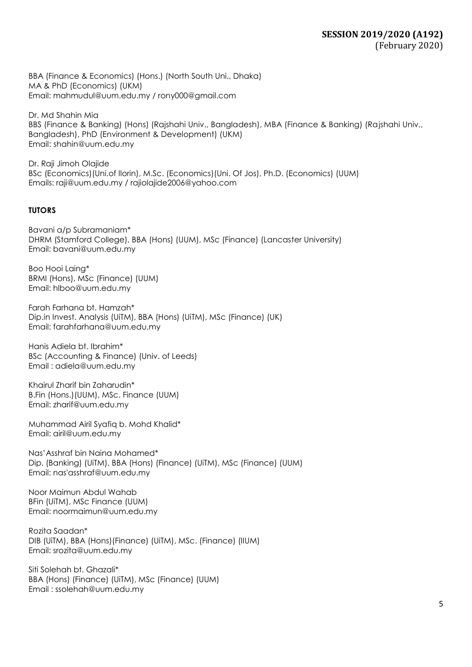BBA (Finance & Economics) (Hons.) (North South Uni., Dhaka) MA & PhD (Economics) (UKM) Email: [mahmudul@uum.edu.my](mailto:mahmudul@uum.edu.my) / [rony000@gmail.com](mailto:rony000@gmail.com)

Dr. Md Shahin Mia BBS (Finance & Banking) (Hons) (Rajshahi Univ., Bangladesh), MBA (Finance & Banking) (Rajshahi Univ., Bangladesh), PhD (Environment & Development) (UKM) Email: [shahin@uum.edu.my](mailto:shahin@uum.edu.my)

Dr. Raji Jimoh Olajide BSc (Economics)(Uni.of Ilorin), M.Sc. (Economics)(Uni. Of Jos), Ph.D. (Economics) (UUM) Emails: [raji@uum.edu.m](mailto:raji@uum.edu)y / [rajiolajide2006@yahoo.com](mailto:rajiolajide2006@yahoo.com)

## **TUTORS**

Bavani a/p Subramaniam\* DHRM (Stamford College), BBA (Hons) (UUM), MSc (Finance) (Lancaster University) Email: bavani@uum.edu.my

Boo Hooi Laing\* BRMI (Hons), MSc (Finance) (UUM) Email: hlboo@uum.edu.my

Farah Farhana bt. Hamzah\* Dip.in Invest. Analysis (UiTM), BBA (Hons) (UiTM), MSc (Finance) (UK) Email: [farahfarhana@uum.edu.my](mailto:farahfarhana@uum.edu.my)

Hanis Adiela bt. Ibrahim\* BSc (Accounting & Finance) (Univ. of Leeds) Email : adiela@uum.edu.my

Khairul Zharif bin Zaharudin\* B.Fin (Hons.)(UUM), MSc. Finance (UUM) Email: [zharif@uum.edu.my](mailto:zharif@uum.edu.my)

Muhammad Airil Syafiq b. Mohd Khalid\* Email: airil@uum.edu.my

Nas'Asshraf bin Naina Mohamed\* Dip. (Banking) (UiTM), BBA (Hons) (Finance) (UiTM), MSc (Finance) (UUM) Email: nas'asshraf@uum.edu.my

Noor Maimun Abdul Wahab BFin (UiTM), MSc Finance (UUM) Email: noormaimun@uum.edu.my

Rozita Saadan\* DIB (UiTM), BBA (Hons)(Finance) (UiTM), MSc. (Finance) (IIUM) Email: srozita@uum.edu.my

Siti Solehah bt. Ghazali\* BBA (Hons) (Finance) (UiTM), MSc (Finance) (UUM) Email : ssolehah@uum.edu.my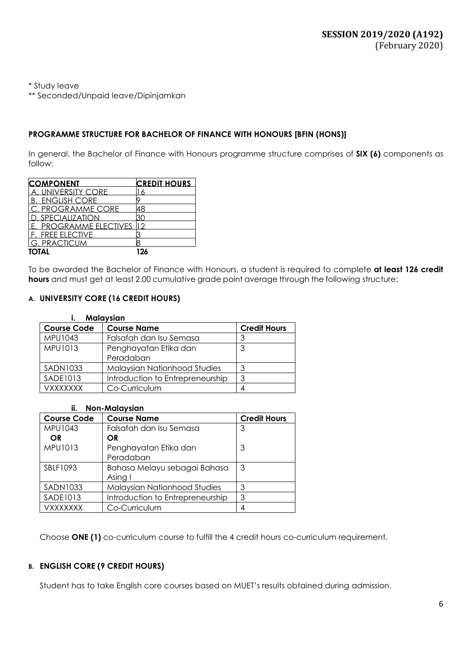\* Study leave

\*\* Seconded/Unpaid leave/Dipinjamkan

### **PROGRAMME STRUCTURE FOR BACHELOR OF FINANCE WITH HONOURS [BFIN (HONS)]**

In general, the Bachelor of Finance with Honours programme structure comprises of **SIX (6)** components as follow:

| <b>COMPONENT</b>           | <b>CREDIT HOURS</b> |
|----------------------------|---------------------|
| UNIVERSITY CORE            |                     |
| . ENGLISH CORE             |                     |
| C. PROGRAMME CORE          |                     |
| ). SPECIALIZATION          |                     |
| <b>PROGRAMME ELECTIVES</b> |                     |
| F. FREE ELECTIVE           |                     |
| <b>G. PRACTICUM</b>        |                     |
| <b>TOTAL</b>               | 126                 |

To be awarded the Bachelor of Finance with Honours, a student is required to complete **at least 126 credit hours** and must get at least 2.00 cumulative grade point average through the following structure:

### **A. UNIVERSITY CORE (16 CREDIT HOURS)**

| <b>Malaysian</b>   |                                  |                     |  |
|--------------------|----------------------------------|---------------------|--|
| <b>Course Code</b> | <b>Course Name</b>               | <b>Credit Hours</b> |  |
| MPU1043            | Falsafah dan Isu Semasa          |                     |  |
| MPU1013            | Penghayatan Etika dan            | 3                   |  |
|                    | Peradaban                        |                     |  |
| SADN1033           | Malaysian Nationhood Studies     | 3                   |  |
| <b>SADE1013</b>    | Introduction to Entrepreneurship | З                   |  |
| VXXXXXXX           | Co-Curriculum                    |                     |  |

#### **ii. Non-Malaysian**

| <b>Course Code</b> | <b>Course Name</b>                  | <b>Credit Hours</b> |
|--------------------|-------------------------------------|---------------------|
| MPU1043            | Falsafah dan Isu Semasa             | 3                   |
| OR.                | OR                                  |                     |
| MPU1013            | Penghayatan Etika dan               | 3                   |
|                    | Peradaban                           |                     |
| SBLF1093           | Bahasa Melayu sebagai Bahasa        | 3                   |
|                    | Asing I                             |                     |
| SADN1033           | <b>Malaysian Nationhood Studies</b> | 3                   |
| <b>SADE1013</b>    | Introduction to Entrepreneurship    | 3                   |
| VXXXXXXX           | Co-Curriculum                       |                     |

Choose **ONE (1)** co-curriculum course to fulfill the 4 credit hours co-curriculum requirement.

### **B. ENGLISH CORE (9 CREDIT HOURS)**

Student has to take English core courses based on MUET's results obtained during admission.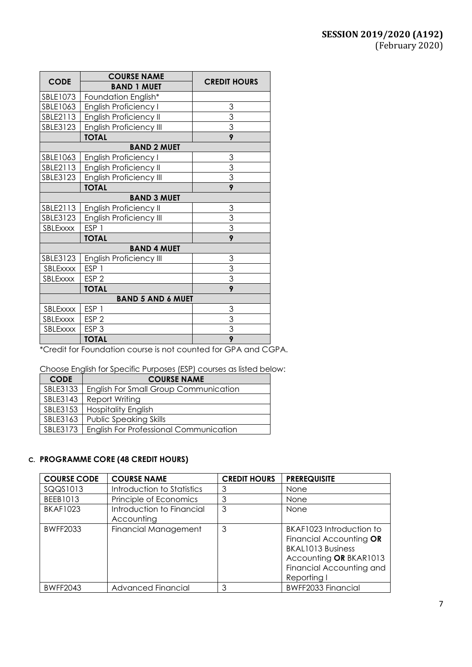| <b>CODE</b>              | <b>COURSE NAME</b><br><b>BAND 1 MUET</b> | <b>CREDIT HOURS</b> |
|--------------------------|------------------------------------------|---------------------|
| SBLE1073                 | Foundation English*                      |                     |
| SBLE1063                 | English Proficiency I                    | 3                   |
| SBLE2113                 | <b>English Proficiency II</b>            | $\frac{3}{3}$       |
| SBLE3123                 | <b>English Proficiency III</b>           |                     |
|                          | <b>TOTAL</b>                             | 9                   |
|                          | <b>BAND 2 MUET</b>                       |                     |
| SBLE1063                 | <b>English Proficiency I</b>             | 3                   |
| SBLE2113                 | English Proficiency II                   | $\overline{3}$      |
| SBLE3123                 | <b>English Proficiency III</b>           | $\overline{3}$      |
|                          | <b>TOTAL</b>                             | 9                   |
|                          | <b>BAND 3 MUET</b>                       |                     |
| SBLE2113                 | English Proficiency II                   | 3                   |
| SBLE3123                 | <b>English Proficiency III</b>           | $\frac{3}{3}$       |
| SBLExxxx                 | ESP <sub>1</sub>                         |                     |
|                          | <b>TOTAL</b>                             | 9                   |
|                          | <b>BAND 4 MUET</b>                       |                     |
| SBLE3123                 | English Proficiency III                  | 3                   |
| SBLExxxx                 | ESP <sub>1</sub>                         | 3                   |
| SBLExxxx                 | ESP <sub>2</sub>                         | $\overline{3}$      |
|                          | <b>TOTAL</b>                             | 9                   |
| <b>BAND 5 AND 6 MUET</b> |                                          |                     |
| SBLExxxx                 | ESP <sub>1</sub>                         | 3                   |
| SBLExxxx                 | ESP <sub>2</sub>                         | 3                   |
| SBLExxxx                 | ESP <sub>3</sub>                         | $\overline{3}$      |
|                          | <b>TOTAL</b>                             | $\overline{9}$      |

\*Credit for Foundation course is not counted for GPA and CGPA.

Choose English for Specific Purposes (ESP) courses as listed below:

| <b>CODE</b> | <b>COURSE NAME</b>                            |  |
|-------------|-----------------------------------------------|--|
| SBLE3133    | <b>English For Small Group Communication</b>  |  |
| SBLE3143    | Report Writing                                |  |
| SBLE3153    | <b>Hospitality English</b>                    |  |
| SBLE3163    | <b>Public Speaking Skills</b>                 |  |
| SBLE3173    | <b>English For Professional Communication</b> |  |

### **C. PROGRAMME CORE (48 CREDIT HOURS)**

| <b>COURSE CODE</b> | <b>COURSE NAME</b>                      | <b>CREDIT HOURS</b> | <b>PREREQUISITE</b>                                                                                                                           |
|--------------------|-----------------------------------------|---------------------|-----------------------------------------------------------------------------------------------------------------------------------------------|
| SQQS1013           | Introduction to Statistics              | 3                   | None                                                                                                                                          |
| BEEB1013           | Principle of Economics                  | 3                   | None                                                                                                                                          |
| <b>BKAF1023</b>    | Introduction to Financial<br>Accounting | 3                   | <b>None</b>                                                                                                                                   |
| <b>BWFF2033</b>    | <b>Financial Management</b>             | 3                   | BKAF1023 Introduction to<br>Financial Accounting OR<br>BKAL1013 Business<br>Accounting OR BKAR1013<br>Financial Accounting and<br>Reporting I |
| <b>BWFF2043</b>    | Advanced Financial                      | 3                   | <b>BWFF2033 Financial</b>                                                                                                                     |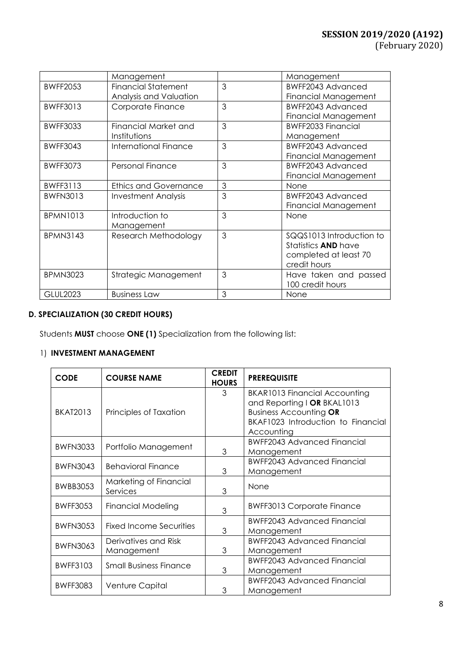|                 | Management                   |   | Management                  |
|-----------------|------------------------------|---|-----------------------------|
| <b>BWFF2053</b> | <b>Financial Statement</b>   | 3 | BWFF2043 Advanced           |
|                 | Analysis and Valuation       |   | <b>Financial Management</b> |
| <b>BWFF3013</b> | Corporate Finance            | 3 | BWFF2043 Advanced           |
|                 |                              |   | <b>Financial Management</b> |
| <b>BWFF3033</b> | Financial Market and         | 3 | <b>BWFF2033 Financial</b>   |
|                 | Institutions                 |   | Management                  |
| <b>BWFF3043</b> | International Finance        | 3 | BWFF2043 Advanced           |
|                 |                              |   | Financial Management        |
| <b>BWFF3073</b> | Personal Finance             | 3 | BWFF2043 Advanced           |
|                 |                              |   | Financial Management        |
| <b>BWFF3113</b> | <b>Ethics and Governance</b> | 3 | None                        |
| <b>BWFN3013</b> | <b>Investment Analysis</b>   | 3 | BWFF2043 Advanced           |
|                 |                              |   | <b>Financial Management</b> |
| <b>BPMN1013</b> | Introduction to              | 3 | None                        |
|                 | Management                   |   |                             |
| <b>BPMN3143</b> | Research Methodology         | 3 | SQQ\$1013 Introduction to   |
|                 |                              |   | Statistics <b>AND</b> have  |
|                 |                              |   | completed at least 70       |
|                 |                              |   | credit hours                |
| <b>BPMN3023</b> | Strategic Management         | 3 | Have taken and passed       |
|                 |                              |   | 100 credit hours            |
| <b>GLUL2023</b> | <b>Business Law</b>          | 3 | <b>None</b>                 |

## **D. SPECIALIZATION (30 CREDIT HOURS)**

Students **MUST** choose **ONE (1)** Specialization from the following list:

# 1) **INVESTMENT MANAGEMENT**

| <b>CODE</b>     | <b>COURSE NAME</b>                 | <b>CREDIT</b><br><b>HOURS</b> | <b>PREREQUISITE</b>                  |
|-----------------|------------------------------------|-------------------------------|--------------------------------------|
|                 |                                    | 3                             | <b>BKAR1013 Financial Accounting</b> |
|                 |                                    |                               | and Reporting   OR BKAL1013          |
| <b>BKAT2013</b> | Principles of Taxation             |                               | <b>Business Accounting OR</b>        |
|                 |                                    |                               | BKAF1023 Introduction to Financial   |
|                 |                                    |                               | Accounting                           |
| <b>BWFN3033</b> | Portfolio Management               |                               | <b>BWFF2043 Advanced Financial</b>   |
|                 |                                    | 3                             | Management                           |
| <b>BWFN3043</b> | <b>Behavioral Finance</b>          |                               | <b>BWFF2043 Advanced Financial</b>   |
|                 |                                    | 3                             | Management                           |
| <b>BWBB3053</b> | Marketing of Financial<br>Services | 3                             | None                                 |
| <b>BWFF3053</b> | <b>Financial Modeling</b>          | 3                             | <b>BWFF3013 Corporate Finance</b>    |
|                 |                                    |                               | <b>BWFF2043 Advanced Financial</b>   |
| <b>BWFN3053</b> | Fixed Income Securities            | 3                             | Management                           |
| <b>BWFN3063</b> | Derivatives and Risk               |                               | <b>BWFF2043 Advanced Financial</b>   |
|                 | Management                         | 3                             | Management                           |
| <b>BWFF3103</b> |                                    |                               | <b>BWFF2043 Advanced Financial</b>   |
|                 | <b>Small Business Finance</b>      | 3                             | Management                           |
| <b>BWFF3083</b> |                                    |                               | <b>BWFF2043 Advanced Financial</b>   |
|                 | Venture Capital                    | 3                             | Management                           |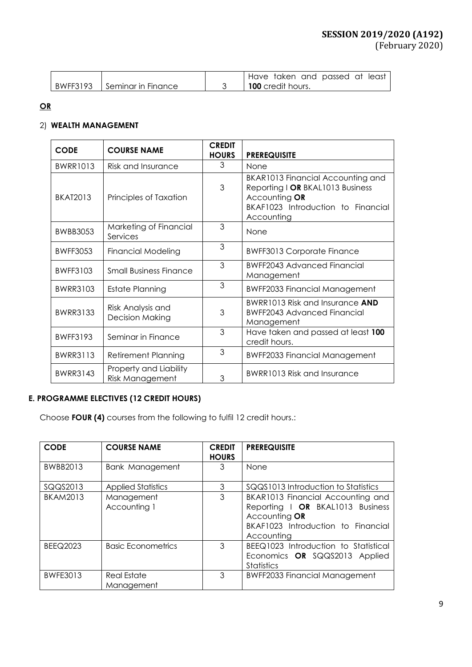|                             | Have taken and passed at least |
|-----------------------------|--------------------------------|
| BWFF3193 Seminar in Finance | <b>100</b> credit hours.       |

## **OR**

## 2) **WEALTH MANAGEMENT**

| <b>CODE</b>     | <b>COURSE NAME</b>                               | <b>CREDIT</b><br><b>HOURS</b> | <b>PREREQUISITE</b>                                                                                                                        |
|-----------------|--------------------------------------------------|-------------------------------|--------------------------------------------------------------------------------------------------------------------------------------------|
| <b>BWRR1013</b> | <b>Risk and Insurance</b>                        | 3                             | None                                                                                                                                       |
| <b>BKAT2013</b> | Principles of Taxation                           | 3                             | BKAR1013 Financial Accounting and<br>Reporting I OR BKAL1013 Business<br>Accounting OR<br>BKAF1023 Introduction to Financial<br>Accounting |
| <b>BWBB3053</b> | Marketing of Financial<br>Services               | 3                             | None                                                                                                                                       |
| <b>BWFF3053</b> | <b>Financial Modeling</b>                        | 3                             | <b>BWFF3013 Corporate Finance</b>                                                                                                          |
| BWFF3103        | <b>Small Business Finance</b>                    | 3                             | <b>BWFF2043 Advanced Financial</b><br>Management                                                                                           |
| <b>BWRR3103</b> | Estate Planning                                  | 3                             | <b>BWFF2033 Financial Management</b>                                                                                                       |
| <b>BWRR3133</b> | Risk Analysis and<br><b>Decision Making</b>      | 3                             | <b>BWRR1013 Risk and Insurance AND</b><br><b>BWFF2043 Advanced Financial</b><br>Management                                                 |
| <b>BWFF3193</b> | Seminar in Finance                               | 3                             | Have taken and passed at least 100<br>credit hours.                                                                                        |
| <b>BWRR3113</b> | <b>Retirement Planning</b>                       | 3                             | <b>BWFF2033 Financial Management</b>                                                                                                       |
| <b>BWRR3143</b> | Property and Liability<br><b>Risk Management</b> | 3                             | BWRR1013 Risk and Insurance                                                                                                                |

# **E. PROGRAMME ELECTIVES (12 CREDIT HOURS)**

Choose **FOUR (4)** courses from the following to fulfil 12 credit hours.:

| <b>CODE</b>     | <b>COURSE NAME</b>         | <b>CREDIT</b><br><b>HOURS</b> | <b>PREREQUISITE</b>                                                                                                                        |
|-----------------|----------------------------|-------------------------------|--------------------------------------------------------------------------------------------------------------------------------------------|
| BWBB2013        | Bank Management            | 3                             | None                                                                                                                                       |
| SQQS2013        | <b>Applied Statistics</b>  | 3                             | SQQS1013 Introduction to Statistics                                                                                                        |
| <b>BKAM2013</b> | Management<br>Accounting 1 | 3                             | BKAR1013 Financial Accounting and<br>Reporting I OR BKAL1013 Business<br>Accounting OR<br>BKAF1023 Introduction to Financial<br>Accounting |
| <b>BEEQ2023</b> | <b>Basic Econometrics</b>  | 3                             | BEEQ1023 Introduction to Statistical<br>Economics OR SQQS2013 Applied<br><b>Statistics</b>                                                 |
| <b>BWFE3013</b> | Real Estate<br>Management  | 3                             | <b>BWFF2033 Financial Management</b>                                                                                                       |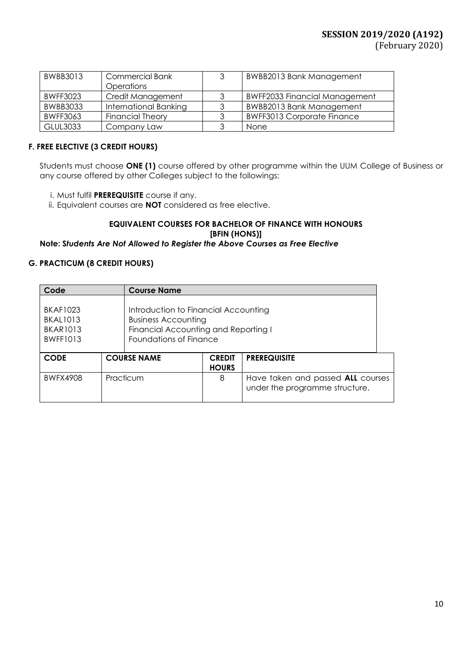| <b>BWBB3013</b> | <b>Commercial Bank</b><br>Operations | 3 | <b>BWBB2013 Bank Management</b>      |
|-----------------|--------------------------------------|---|--------------------------------------|
| <b>BWFF3023</b> | Credit Management                    | 3 | <b>BWFF2033 Financial Management</b> |
| <b>BWBB3033</b> | International Banking                | 3 | <b>BWBB2013 Bank Management</b>      |
| <b>BWFF3063</b> | <b>Financial Theory</b>              |   | <b>BWFF3013 Corporate Finance</b>    |
| <b>GLUL3033</b> | Company Law                          | 3 | None                                 |

## **F. FREE ELECTIVE (3 CREDIT HOURS)**

Students must choose **ONE (1)** course offered by other programme within the UUM College of Business or any course offered by other Colleges subject to the followings:

- i. Must fulfil **PREREQUISITE** course if any.
- ii. Equivalent courses are **NOT** considered as free elective.

## **EQUIVALENT COURSES FOR BACHELOR OF FINANCE WITH HONOURS [BFIN (HONS)]**

### **Note: S***tudents Are Not Allowed to Register the Above Courses as Free Elective*

### **G. PRACTICUM (8 CREDIT HOURS)**

| Code                                                                                                                                                                                                             |  | <b>Course Name</b> |                               |                                                                     |  |  |
|------------------------------------------------------------------------------------------------------------------------------------------------------------------------------------------------------------------|--|--------------------|-------------------------------|---------------------------------------------------------------------|--|--|
| <b>BKAF1023</b><br>Introduction to Financial Accounting<br><b>BKAL1013</b><br><b>Business Accounting</b><br>Financial Accounting and Reporting I<br><b>BKAR1013</b><br>Foundations of Finance<br><b>BWFF1013</b> |  |                    |                               |                                                                     |  |  |
| <b>CODE</b>                                                                                                                                                                                                      |  | <b>COURSE NAME</b> | <b>CREDIT</b><br><b>HOURS</b> | <b>PREREQUISITE</b>                                                 |  |  |
| <b>BWFX4908</b>                                                                                                                                                                                                  |  | Practicum          | 8                             | Have taken and passed ALL courses<br>under the programme structure. |  |  |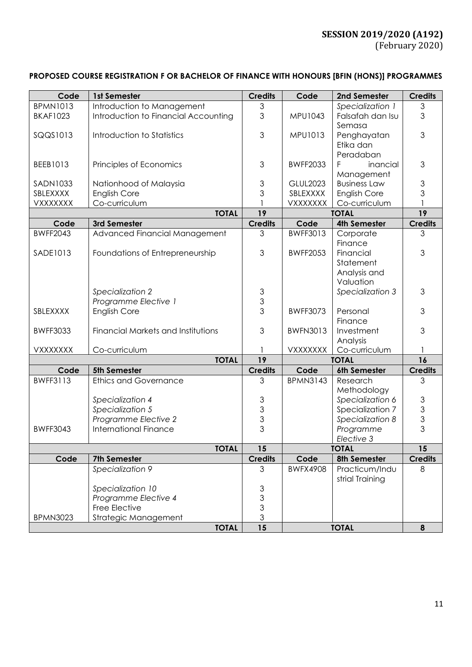# **PROPOSED COURSE REGISTRATION F OR BACHELOR OF FINANCE WITH HONOURS [BFIN (HONS)] PROGRAMMES**

| Code            | 1st Semester                         | <b>Credits</b>                             | Code            | 2nd Semester        | <b>Credits</b> |
|-----------------|--------------------------------------|--------------------------------------------|-----------------|---------------------|----------------|
| <b>BPMN1013</b> | Introduction to Management           | $\mathfrak{Z}$                             |                 | Specialization 1    | 3              |
| <b>BKAF1023</b> | Introduction to Financial Accounting | 3                                          | MPU1043         | Falsafah dan Isu    | 3              |
|                 |                                      |                                            |                 | Semasa              |                |
| SQQS1013        | Introduction to Statistics           | 3                                          | MPU1013         | Penghayatan         | 3              |
|                 |                                      |                                            |                 | Etika dan           |                |
|                 |                                      |                                            |                 | Peradaban           |                |
|                 |                                      |                                            | <b>BWFF2033</b> |                     |                |
| BEEB1013        | Principles of Economics              | 3                                          |                 | inancial            | 3              |
|                 |                                      |                                            |                 | Management          |                |
| SADN1033        | Nationhood of Malaysia               | 3                                          | <b>GLUL2023</b> | <b>Business Law</b> | 3              |
| SBLEXXXX        | <b>English Core</b>                  | 3                                          | SBLEXXXX        | <b>English Core</b> | 3              |
| <b>VXXXXXXX</b> | Co-curriculum                        |                                            | VXXXXXXX        | Co-curriculum       |                |
|                 | <b>TOTAL</b>                         | 19                                         | <b>TOTAL</b>    |                     | 19             |
| Code            | 3rd Semester                         | <b>Credits</b>                             | Code            | <b>4th Semester</b> | <b>Credits</b> |
| <b>BWFF2043</b> | Advanced Financial Management        | 3                                          | BWFF3013        | Corporate           | 3              |
|                 |                                      |                                            |                 | Finance             |                |
| SADE1013        | Foundations of Entrepreneurship      | 3                                          | <b>BWFF2053</b> | Financial           | 3              |
|                 |                                      |                                            |                 | Statement           |                |
|                 |                                      |                                            |                 | Analysis and        |                |
|                 |                                      |                                            |                 | Valuation           |                |
|                 | Specialization 2                     | 3                                          |                 | Specialization 3    | 3              |
|                 | Programme Elective 1                 | $\mathfrak{S}$                             |                 |                     |                |
| SBLEXXXX        | <b>English Core</b>                  | $\overline{3}$                             | <b>BWFF3073</b> | Personal            | 3              |
|                 |                                      |                                            |                 | Finance             |                |
| <b>BWFF3033</b> | Financial Markets and Institutions   | 3                                          | <b>BWFN3013</b> | Investment          | 3              |
|                 |                                      |                                            |                 | Analysis            |                |
| VXXXXXXX        | Co-curriculum                        |                                            | <b>VXXXXXXX</b> | Co-curriculum       | 1              |
|                 | <b>TOTAL</b>                         | 19                                         | <b>TOTAL</b>    |                     | 16             |
| Code            | 5th Semester                         | <b>Credits</b>                             | Code            | 6th Semester        | <b>Credits</b> |
| <b>BWFF3113</b> | <b>Ethics and Governance</b>         | 3                                          | <b>BPMN3143</b> | Research            | 3              |
|                 |                                      |                                            |                 | Methodology         |                |
|                 | Specialization 4                     | 3                                          |                 | Specialization 6    | $\mathfrak{S}$ |
|                 | Specialization 5                     | 3                                          |                 | Specialization 7    | 3              |
|                 | Programme Elective 2                 | 3                                          |                 | Specialization 8    | 3              |
| <b>BWFF3043</b> | <b>International Finance</b>         | 3                                          |                 | Programme           | 3              |
|                 |                                      |                                            |                 | Elective 3          |                |
|                 | <b>TOTAL</b>                         | 15                                         |                 | <b>TOTAL</b>        | 15             |
| Code            | 7th Semester                         | <b>Credits</b>                             | Code            | 8th Semester        | <b>Credits</b> |
|                 | Specialization 9                     | 3                                          | <b>BWFX4908</b> | Practicum/Indu      | 8              |
|                 |                                      |                                            |                 | strial Training     |                |
|                 | Specialization 10                    |                                            |                 |                     |                |
|                 | Programme Elective 4                 | $\begin{array}{c} 3 \\ 3 \\ 3 \end{array}$ |                 |                     |                |
|                 | Free Elective                        |                                            |                 |                     |                |
| <b>BPMN3023</b> | Strategic Management                 | 3                                          |                 |                     |                |
|                 | <b>TOTAL</b>                         | 15                                         |                 | <b>TOTAL</b>        | 8              |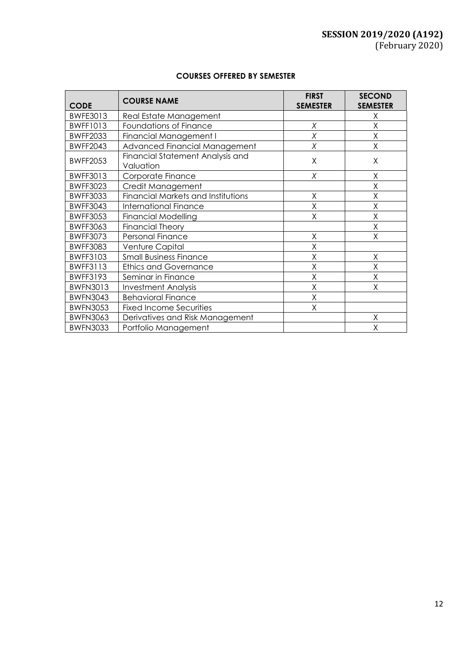### **COURSES OFFERED BY SEMESTER**

| <b>CODE</b>     | <b>COURSE NAME</b>                            | <b>FIRST</b><br><b>SEMESTER</b> | <b>SECOND</b><br><b>SEMESTER</b> |
|-----------------|-----------------------------------------------|---------------------------------|----------------------------------|
| BWFE3013        | Real Estate Management                        |                                 | Χ                                |
| <b>BWFF1013</b> | Foundations of Finance                        | Χ                               | Χ                                |
| <b>BWFF2033</b> | Financial Management I                        | X                               | X                                |
| <b>BWFF2043</b> | Advanced Financial Management                 | Χ                               | X                                |
| <b>BWFF2053</b> | Financial Statement Analysis and<br>Valuation | Χ                               | Χ                                |
| <b>BWFF3013</b> | Corporate Finance                             | X                               | Χ                                |
| <b>BWFF3023</b> | Credit Management                             |                                 | Χ                                |
| <b>BWFF3033</b> | <b>Financial Markets and Institutions</b>     | X                               | Χ                                |
| <b>BWFF3043</b> | <b>International Finance</b>                  | X                               | Χ                                |
| <b>BWFF3053</b> | <b>Financial Modelling</b>                    | X                               | Χ                                |
| <b>BWFF3063</b> | <b>Financial Theory</b>                       |                                 | Χ                                |
| <b>BWFF3073</b> | Personal Finance                              | Χ                               | Χ                                |
| <b>BWFF3083</b> | Venture Capital                               | X                               |                                  |
| <b>BWFF3103</b> | <b>Small Business Finance</b>                 | X                               | Χ                                |
| <b>BWFF3113</b> | <b>Ethics and Governance</b>                  | X                               | Χ                                |
| <b>BWFF3193</b> | Seminar in Finance                            | X                               | X                                |
| <b>BWFN3013</b> | <b>Investment Analysis</b>                    | X                               | Χ                                |
| <b>BWFN3043</b> | <b>Behavioral Finance</b>                     | X                               |                                  |
| <b>BWFN3053</b> | <b>Fixed Income Securities</b>                | Χ                               |                                  |
| <b>BWFN3063</b> | Derivatives and Risk Management               |                                 | Χ                                |
| <b>BWFN3033</b> | Portfolio Management                          |                                 | Χ                                |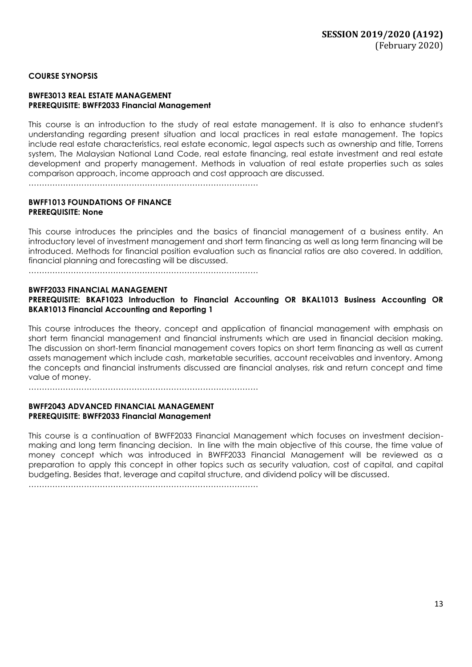### **COURSE SYNOPSIS**

#### **BWFE3013 REAL ESTATE MANAGEMENT PREREQUISITE: BWFF2033 Financial Management**

This course is an introduction to the study of real estate management. It is also to enhance student's understanding regarding present situation and local practices in real estate management. The topics include real estate characteristics, real estate economic, legal aspects such as ownership and title, Torrens system, The Malaysian National Land Code, real estate financing, real estate investment and real estate development and property management. Methods in valuation of real estate properties such as sales comparison approach, income approach and cost approach are discussed.

……………………………………………………………………………

### **BWFF1013 FOUNDATIONS OF FINANCE PREREQUISITE: None**

This course introduces the principles and the basics of financial management of a business entity. An introductory level of investment management and short term financing as well as long term financing will be introduced. Methods for financial position evaluation such as financial ratios are also covered. In addition, financial planning and forecasting will be discussed.

……………………………………………………………………………

#### **BWFF2033 FINANCIAL MANAGEMENT**

**PREREQUISITE: BKAF1023 Introduction to Financial Accounting OR BKAL1013 Business Accounting OR BKAR1013 Financial Accounting and Reporting 1**

This course introduces the theory, concept and application of financial management with emphasis on short term financial management and financial instruments which are used in financial decision making. The discussion on short-term financial management covers topics on short term financing as well as current assets management which include cash, marketable securities, account receivables and inventory. Among the concepts and financial instruments discussed are financial analyses, risk and return concept and time value of money.

……………………………………………………………………………

### **BWFF2043 ADVANCED FINANCIAL MANAGEMENT PREREQUISITE: BWFF2033 Financial Management**

This course is a continuation of BWFF2033 Financial Management which focuses on investment decisionmaking and long term financing decision. In line with the main objective of this course, the time value of money concept which was introduced in BWFF2033 Financial Management will be reviewed as a preparation to apply this concept in other topics such as security valuation, cost of capital, and capital budgeting. Besides that, leverage and capital structure, and dividend policy will be discussed.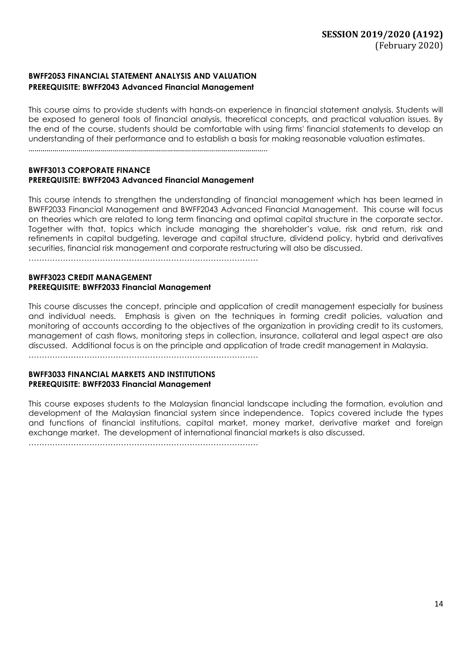### **BWFF2053 FINANCIAL STATEMENT ANALYSIS AND VALUATION PREREQUISITE: BWFF2043 Advanced Financial Management**

This course aims to provide students with hands-on experience in financial statement analysis. Students will be exposed to general tools of financial analysis, theoretical concepts, and practical valuation issues. By the end of the course, students should be comfortable with using firms' financial statements to develop an understanding of their performance and to establish a basis for making reasonable valuation estimates.

………………………………………………………………………………………………………..

#### **BWFF3013 CORPORATE FINANCE PREREQUISITE: BWFF2043 Advanced Financial Management**

This course intends to strengthen the understanding of financial management which has been learned in BWFF2033 Financial Management and BWFF2043 Advanced Financial Management. This course will focus on theories which are related to long term financing and optimal capital structure in the corporate sector. Together with that, topics which include managing the shareholder's value, risk and return, risk and refinements in capital budgeting, leverage and capital structure, dividend policy, hybrid and derivatives securities, financial risk management and corporate restructuring will also be discussed.

……………………………………………………………………………

#### **BWFF3023 CREDIT MANAGEMENT PREREQUISITE: BWFF2033 Financial Management**

This course discusses the concept, principle and application of credit management especially for business and individual needs. Emphasis is given on the techniques in forming credit policies, valuation and monitoring of accounts according to the objectives of the organization in providing credit to its customers, management of cash flows, monitoring steps in collection, insurance, collateral and legal aspect are also discussed. Additional focus is on the principle and application of trade credit management in Malaysia.

……………………………………………………………………………

#### **BWFF3033 FINANCIAL MARKETS AND INSTITUTIONS PREREQUISITE: BWFF2033 Financial Management**

This course exposes students to the Malaysian financial landscape including the formation, evolution and development of the Malaysian financial system since independence. Topics covered include the types and functions of financial institutions, capital market, money market, derivative market and foreign exchange market. The development of international financial markets is also discussed.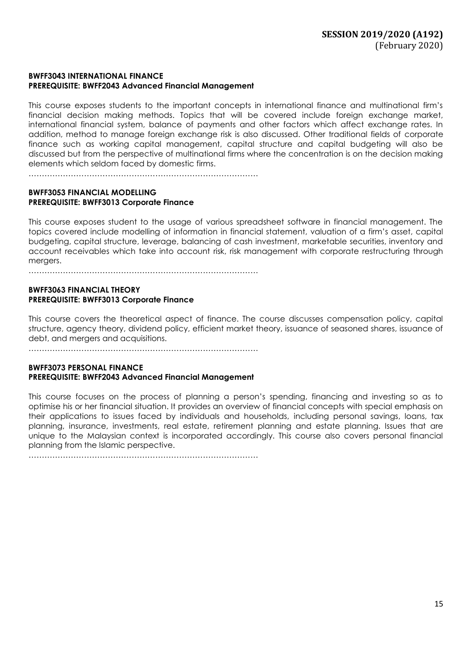### **BWFF3043 INTERNATIONAL FINANCE PREREQUISITE: BWFF2043 Advanced Financial Management**

This course exposes students to the important concepts in international finance and multinational firm's financial decision making methods. Topics that will be covered include foreign exchange market, international financial system, balance of payments and other factors which affect exchange rates. In addition, method to manage foreign exchange risk is also discussed. Other traditional fields of corporate finance such as working capital management, capital structure and capital budgeting will also be discussed but from the perspective of multinational firms where the concentration is on the decision making elements which seldom faced by domestic firms.

……………………………………………………………………………

### **BWFF3053 FINANCIAL MODELLING PREREQUISITE: BWFF3013 Corporate Finance**

This course exposes student to the usage of various spreadsheet software in financial management. The topics covered include modelling of information in financial statement, valuation of a firm's asset, capital budgeting, capital structure, leverage, balancing of cash investment, marketable securities, inventory and account receivables which take into account risk, risk management with corporate restructuring through mergers.

……………………………………………………………………………

### **BWFF3063 FINANCIAL THEORY PREREQUISITE: BWFF3013 Corporate Finance**

This course covers the theoretical aspect of finance. The course discusses compensation policy, capital structure, agency theory, dividend policy, efficient market theory, issuance of seasoned shares, issuance of debt, and mergers and acquisitions.

……………………………………………………………………………

### **BWFF3073 PERSONAL FINANCE PREREQUISITE: BWFF2043 Advanced Financial Management**

This course focuses on the process of planning a person's spending, financing and investing so as to optimise his or her financial situation. It provides an overview of financial concepts with special emphasis on their applications to issues faced by individuals and households, including personal savings, loans, tax planning, insurance, investments, real estate, retirement planning and estate planning. Issues that are unique to the Malaysian context is incorporated accordingly. This course also covers personal financial planning from the Islamic perspective.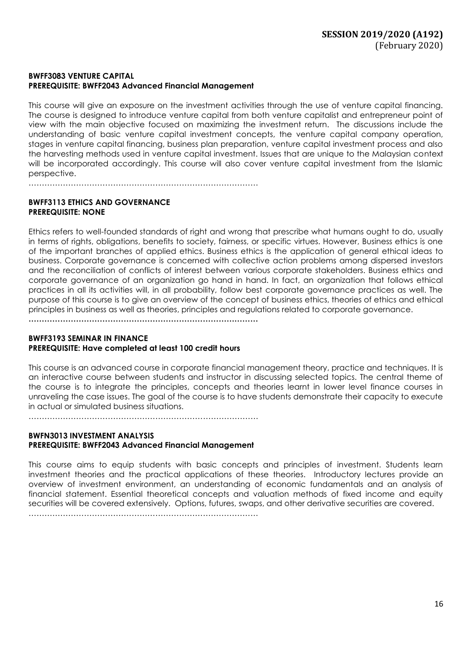### **BWFF3083 VENTURE CAPITAL PREREQUISITE: BWFF2043 Advanced Financial Management**

……………………………………………………………………………

This course will give an exposure on the investment activities through the use of venture capital financing. The course is designed to introduce venture capital from both venture capitalist and entrepreneur point of view with the main objective focused on maximizing the investment return. The discussions include the understanding of basic venture capital investment concepts, the venture capital company operation, stages in venture capital financing, business plan preparation, venture capital investment process and also the harvesting methods used in venture capital investment. Issues that are unique to the Malaysian context will be incorporated accordingly. This course will also cover venture capital investment from the Islamic perspective.

**BWFF3113 ETHICS AND GOVERNANCE PREREQUISITE: NONE**

Ethics refers to well-founded standards of right and wrong that prescribe what humans ought to do, usually in terms of rights, obligations, benefits to society, fairness, or specific virtues. However, Business ethics is one of the important branches of applied ethics. Business ethics is the application of general ethical ideas to business. Corporate governance is concerned with collective action problems among dispersed investors and the reconciliation of conflicts of interest between various corporate stakeholders. Business ethics and corporate governance of an organization go hand in hand. In fact, an organization that follows ethical practices in all its activities will, in all probability, follow best corporate governance practices as well. The purpose of this course is to give an overview of the concept of business ethics, theories of ethics and ethical principles in business as well as theories, principles and regulations related to corporate governance.

**……………………………………………………………………………**

### **BWFF3193 SEMINAR IN FINANCE PREREQUISITE: Have completed at least 100 credit hours**

This course is an advanced course in corporate financial management theory, practice and techniques. It is an interactive course between students and instructor in discussing selected topics. The central theme of the course is to integrate the principles, concepts and theories learnt in lower level finance courses in unraveling the case issues. The goal of the course is to have students demonstrate their capacity to execute in actual or simulated business situations.

……………………………………………………………………………

### **BWFN3013 INVESTMENT ANALYSIS PREREQUISITE: BWFF2043 Advanced Financial Management**

This course aims to equip students with basic concepts and principles of investment. Students learn investment theories and the practical applications of these theories. Introductory lectures provide an overview of investment environment, an understanding of economic fundamentals and an analysis of financial statement. Essential theoretical concepts and valuation methods of fixed income and equity securities will be covered extensively. Options, futures, swaps, and other derivative securities are covered.